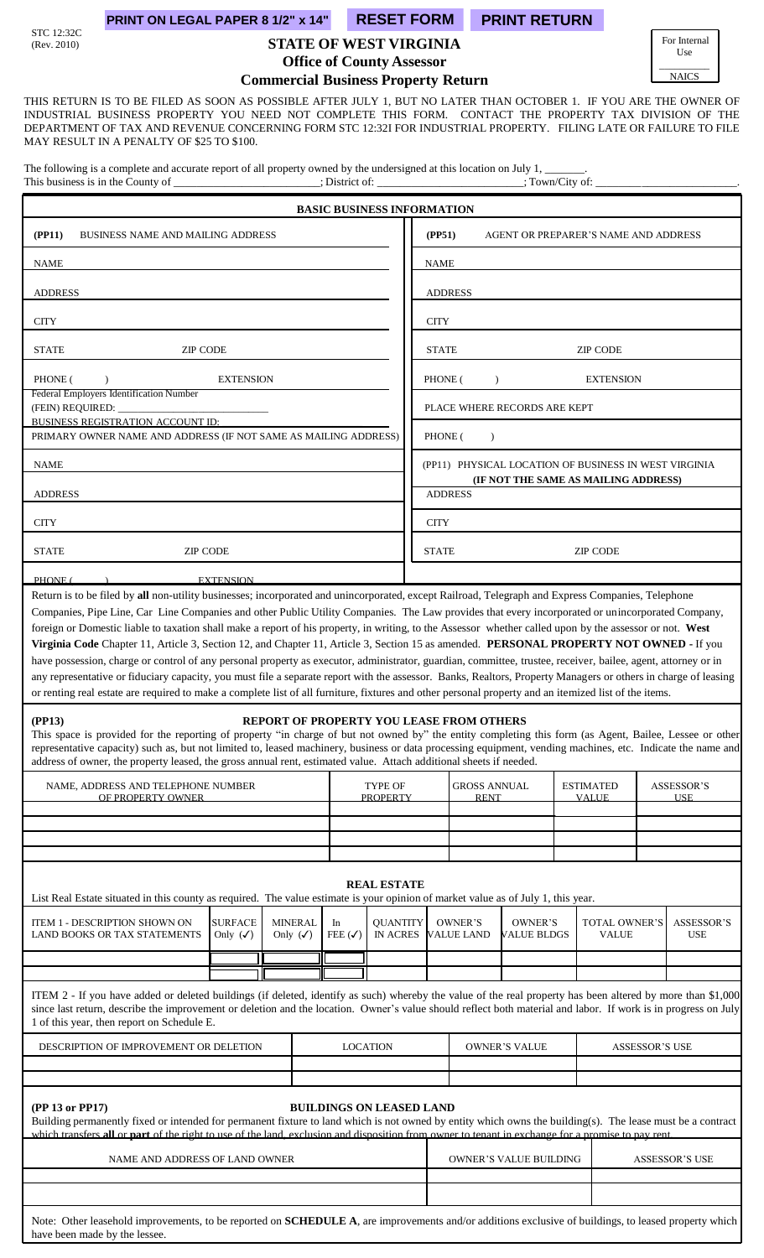# STC 12:32C<br>(Rev. 2010)

have been made by the lessee.

## **PRINT ON LEGAL PAPER 8 1/2" x 14" RESET FORM PRINT RETURN**

# **STATE OF WEST VIRGINIA**

For Internal Use  $\overline{\phantom{a}}$  . The contract of  $\overline{\phantom{a}}$ NAICS

**Office of County Assessor**

**Commercial Business Property Return**

THIS RETURN IS TO BE FILED AS SOON AS POSSIBLE AFTER JULY 1, BUT NO LATER THAN OCTOBER 1. IF YOU ARE THE OWNER OF INDUSTRIAL BUSINESS PROPERTY YOU NEED NOT COMPLETE THIS FORM. CONTACT THE PROPERTY TAX DIVISION OF THE DEPARTMENT OF TAX AND REVENUE CONCERNING FORM STC 12:32I FOR INDUSTRIAL PROPERTY. FILING LATE OR FAILURE TO FILE MAY RESULT IN A PENALTY OF \$25 TO \$100.

The following is a complete and accurate report of all property owned by the undersigned at this location on July 1, This business is in the County of \_\_\_\_\_\_\_\_\_\_\_\_\_\_\_\_\_\_\_\_\_\_; District of: \_\_\_\_\_\_\_\_\_\_\_\_\_\_\_\_\_\_\_\_\_\_; Town/City of:

|                                                                                                                                                                                                                                                                                                                                                                                                                                                                                                                                                                                                                                                                                                                                                                                                                                                                                                                                                     |                          | <b>BASIC BUSINESS INFORMATION</b>  |                      |                                    |                               |  |                                                       |                       |                                 |
|-----------------------------------------------------------------------------------------------------------------------------------------------------------------------------------------------------------------------------------------------------------------------------------------------------------------------------------------------------------------------------------------------------------------------------------------------------------------------------------------------------------------------------------------------------------------------------------------------------------------------------------------------------------------------------------------------------------------------------------------------------------------------------------------------------------------------------------------------------------------------------------------------------------------------------------------------------|--------------------------|------------------------------------|----------------------|------------------------------------|-------------------------------|--|-------------------------------------------------------|-----------------------|---------------------------------|
| (PP11)<br><b>BUSINESS NAME AND MAILING ADDRESS</b>                                                                                                                                                                                                                                                                                                                                                                                                                                                                                                                                                                                                                                                                                                                                                                                                                                                                                                  |                          |                                    | (PP51)               |                                    |                               |  | AGENT OR PREPARER'S NAME AND ADDRESS                  |                       |                                 |
| <b>NAME</b>                                                                                                                                                                                                                                                                                                                                                                                                                                                                                                                                                                                                                                                                                                                                                                                                                                                                                                                                         |                          |                                    | NAME                 |                                    |                               |  |                                                       |                       |                                 |
| <b>ADDRESS</b>                                                                                                                                                                                                                                                                                                                                                                                                                                                                                                                                                                                                                                                                                                                                                                                                                                                                                                                                      |                          |                                    |                      | <b>ADDRESS</b>                     |                               |  |                                                       |                       |                                 |
| <b>CITY</b>                                                                                                                                                                                                                                                                                                                                                                                                                                                                                                                                                                                                                                                                                                                                                                                                                                                                                                                                         |                          |                                    | <b>CITY</b>          |                                    |                               |  |                                                       |                       |                                 |
| <b>STATE</b><br><b>ZIP CODE</b>                                                                                                                                                                                                                                                                                                                                                                                                                                                                                                                                                                                                                                                                                                                                                                                                                                                                                                                     |                          |                                    | <b>STATE</b>         |                                    |                               |  | <b>ZIP CODE</b>                                       |                       |                                 |
| PHONE (<br><b>EXTENSION</b>                                                                                                                                                                                                                                                                                                                                                                                                                                                                                                                                                                                                                                                                                                                                                                                                                                                                                                                         |                          |                                    | PHONE (              | $\lambda$                          |                               |  | <b>EXTENSION</b>                                      |                       |                                 |
| Federal Employers Identification Number<br>(FEIN) REQUIRED: _                                                                                                                                                                                                                                                                                                                                                                                                                                                                                                                                                                                                                                                                                                                                                                                                                                                                                       |                          |                                    |                      |                                    | PLACE WHERE RECORDS ARE KEPT  |  |                                                       |                       |                                 |
| BUSINESS REGISTRATION ACCOUNT ID:<br>PRIMARY OWNER NAME AND ADDRESS (IF NOT SAME AS MAILING ADDRESS)                                                                                                                                                                                                                                                                                                                                                                                                                                                                                                                                                                                                                                                                                                                                                                                                                                                |                          |                                    | PHONE (<br>$\lambda$ |                                    |                               |  |                                                       |                       |                                 |
| <b>NAME</b>                                                                                                                                                                                                                                                                                                                                                                                                                                                                                                                                                                                                                                                                                                                                                                                                                                                                                                                                         |                          |                                    |                      |                                    |                               |  | (PP11) PHYSICAL LOCATION OF BUSINESS IN WEST VIRGINIA |                       |                                 |
| <b>ADDRESS</b>                                                                                                                                                                                                                                                                                                                                                                                                                                                                                                                                                                                                                                                                                                                                                                                                                                                                                                                                      |                          |                                    |                      | <b>ADDRESS</b>                     |                               |  | (IF NOT THE SAME AS MAILING ADDRESS)                  |                       |                                 |
| <b>CITY</b>                                                                                                                                                                                                                                                                                                                                                                                                                                                                                                                                                                                                                                                                                                                                                                                                                                                                                                                                         |                          |                                    | <b>CITY</b>          |                                    |                               |  |                                                       |                       |                                 |
| <b>STATE</b><br><b>ZIP CODE</b>                                                                                                                                                                                                                                                                                                                                                                                                                                                                                                                                                                                                                                                                                                                                                                                                                                                                                                                     |                          |                                    | <b>STATE</b>         |                                    |                               |  | <b>ZIP CODE</b>                                       |                       |                                 |
| PHONE (<br><b>EXTENSION</b>                                                                                                                                                                                                                                                                                                                                                                                                                                                                                                                                                                                                                                                                                                                                                                                                                                                                                                                         |                          |                                    |                      |                                    |                               |  |                                                       |                       |                                 |
| Companies, Pipe Line, Car Line Companies and other Public Utility Companies. The Law provides that every incorporated or unincorporated Company,<br>foreign or Domestic liable to taxation shall make a report of his property, in writing, to the Assessor whether called upon by the assessor or not. West<br>Virginia Code Chapter 11, Article 3, Section 12, and Chapter 11, Article 3, Section 15 as amended. PERSONAL PROPERTY NOT OWNED - If you<br>have possession, charge or control of any personal property as executor, administrator, guardian, committee, trustee, receiver, bailee, agent, attorney or in<br>any representative or fiduciary capacity, you must file a separate report with the assessor. Banks, Realtors, Property Managers or others in charge of leasing<br>or renting real estate are required to make a complete list of all furniture, fixtures and other personal property and an itemized list of the items. |                          |                                    |                      |                                    |                               |  |                                                       |                       |                                 |
| (PP13)<br><b>REPORT OF PROPERTY YOU LEASE FROM OTHERS</b><br>This space is provided for the reporting of property "in charge of but not owned by" the entity completing this form (as Agent, Bailee, Lessee or other<br>representative capacity) such as, but not limited to, leased machinery, business or data processing equipment, vending machines, etc. Indicate the name and<br>address of owner, the property leased, the gross annual rent, estimated value. Attach additional sheets if needed.                                                                                                                                                                                                                                                                                                                                                                                                                                           |                          |                                    |                      |                                    |                               |  |                                                       |                       |                                 |
| NAME, ADDRESS AND TELEPHONE NUMBER<br>OF PROPERTY OWNER                                                                                                                                                                                                                                                                                                                                                                                                                                                                                                                                                                                                                                                                                                                                                                                                                                                                                             |                          | TYPE OF<br><b>PROPERTY</b>         |                      | <b>GROSS ANNUAL</b><br><b>RENT</b> |                               |  | <b>ESTIMATED</b><br><b>VALUE</b>                      |                       | ASSESSOR'S<br><b>IISE</b>       |
|                                                                                                                                                                                                                                                                                                                                                                                                                                                                                                                                                                                                                                                                                                                                                                                                                                                                                                                                                     |                          |                                    |                      |                                    |                               |  |                                                       |                       |                                 |
|                                                                                                                                                                                                                                                                                                                                                                                                                                                                                                                                                                                                                                                                                                                                                                                                                                                                                                                                                     |                          |                                    |                      |                                    |                               |  |                                                       |                       |                                 |
|                                                                                                                                                                                                                                                                                                                                                                                                                                                                                                                                                                                                                                                                                                                                                                                                                                                                                                                                                     |                          |                                    |                      |                                    |                               |  |                                                       |                       |                                 |
| List Real Estate situated in this county as required. The value estimate is your opinion of market value as of July 1, this year.                                                                                                                                                                                                                                                                                                                                                                                                                                                                                                                                                                                                                                                                                                                                                                                                                   |                          | <b>REAL ESTATE</b>                 |                      |                                    |                               |  |                                                       |                       |                                 |
| <b>SURFACE</b><br>ITEM 1 - DESCRIPTION SHOWN ON<br><b>MINERAL</b><br>Only $(\checkmark)$<br>LAND BOOKS OR TAX STATEMENTS<br>Only $(\checkmark)$                                                                                                                                                                                                                                                                                                                                                                                                                                                                                                                                                                                                                                                                                                                                                                                                     | In<br>FEE $(\checkmark)$ | <b>QUANTITY</b><br><b>IN ACRES</b> |                      | OWNER'S<br><b>VALUE LAND</b>       | OWNER'S<br>VALUE BLDGS        |  | TOTAL OWNER'S<br><b>VALUE</b>                         |                       | <b>ASSESSOR'S</b><br><b>USE</b> |
|                                                                                                                                                                                                                                                                                                                                                                                                                                                                                                                                                                                                                                                                                                                                                                                                                                                                                                                                                     |                          |                                    |                      |                                    |                               |  |                                                       |                       |                                 |
| ITEM 2 - If you have added or deleted buildings (if deleted, identify as such) whereby the value of the real property has been altered by more than \$1,000<br>since last return, describe the improvement or deletion and the location. Owner's value should reflect both material and labor. If work is in progress on July<br>1 of this year, then report on Schedule E.                                                                                                                                                                                                                                                                                                                                                                                                                                                                                                                                                                         |                          |                                    |                      |                                    |                               |  |                                                       |                       |                                 |
| DESCRIPTION OF IMPROVEMENT OR DELETION                                                                                                                                                                                                                                                                                                                                                                                                                                                                                                                                                                                                                                                                                                                                                                                                                                                                                                              |                          | <b>LOCATION</b>                    |                      |                                    | <b>OWNER'S VALUE</b>          |  |                                                       | <b>ASSESSOR'S USE</b> |                                 |
|                                                                                                                                                                                                                                                                                                                                                                                                                                                                                                                                                                                                                                                                                                                                                                                                                                                                                                                                                     |                          |                                    |                      |                                    |                               |  |                                                       |                       |                                 |
| (PP 13 or PP17)<br>Building permanently fixed or intended for permanent fixture to land which is not owned by entity which owns the building(s). The lease must be a contract<br>which transfers all or part of the right to use of the land, exclusion and disposition from owner to tenant in exchange for a promise to pay rent.                                                                                                                                                                                                                                                                                                                                                                                                                                                                                                                                                                                                                 |                          | <b>BUILDINGS ON LEASED LAND</b>    |                      |                                    |                               |  |                                                       |                       |                                 |
| NAME AND ADDRESS OF LAND OWNER                                                                                                                                                                                                                                                                                                                                                                                                                                                                                                                                                                                                                                                                                                                                                                                                                                                                                                                      |                          |                                    |                      |                                    | <b>OWNER'S VALUE BUILDING</b> |  |                                                       |                       | <b>ASSESSOR'S USE</b>           |
|                                                                                                                                                                                                                                                                                                                                                                                                                                                                                                                                                                                                                                                                                                                                                                                                                                                                                                                                                     |                          |                                    |                      |                                    |                               |  |                                                       |                       |                                 |
| Note: Other leasehold improvements, to be reported on SCHEDULE A, are improvements and/or additions exclusive of buildings, to leased property which                                                                                                                                                                                                                                                                                                                                                                                                                                                                                                                                                                                                                                                                                                                                                                                                |                          |                                    |                      |                                    |                               |  |                                                       |                       |                                 |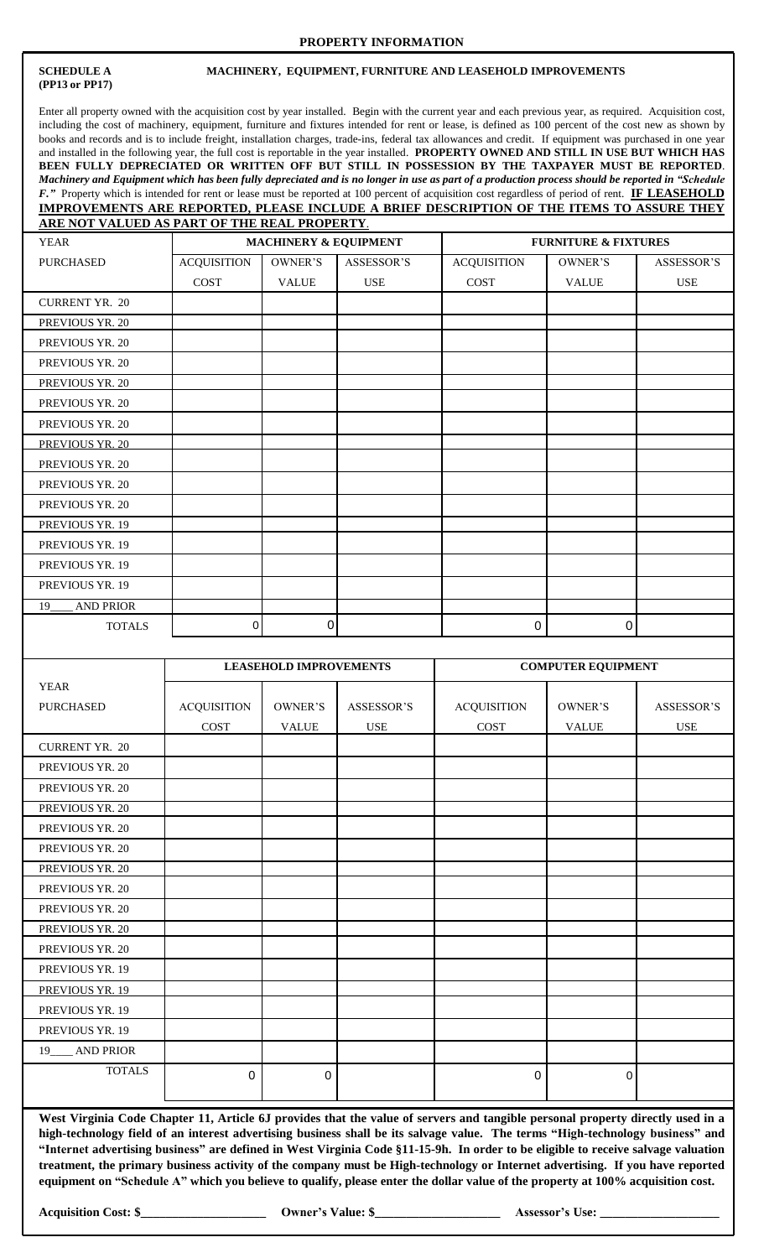#### **PROPERTY INFORMATION**

# **(PP13 or PP17)**

 $\mathsf{l}$ 

#### **SCHEDULE A MACHINERY, EQUIPMENT, FURNITURE AND LEASEHOLD IMPROVEMENTS**

Enter all property owned with the acquisition cost by year installed. Begin with the current year and each previous year, as required. Acquisition cost, including the cost of machinery, equipment, furniture and fixtures intended for rent or lease, is defined as 100 percent of the cost new as shown by books and records and is to include freight, installation charges, trade-ins, federal tax allowances and credit. If equipment was purchased in one year and installed in the following year, the full cost is reportable in the year installed. **PROPERTY OWNED AND STILL IN USE BUT WHICH HAS BEEN FULLY DEPRECIATED OR WRITTEN OFF BUT STILL IN POSSESSION BY THE TAXPAYER MUST BE REPORTED**. Machinery and Equipment which has been fully depreciated and is no longer in use as part of a production process should be reported in "Schedule *F."* Property which is intended for rent or lease must be reported at 100 percent of acquisition cost regardless of period of rent. **IF LEASEHOLD IMPROVEMENTS ARE REPORTED, PLEASE INCLUDE A BRIEF DESCRIPTION OF THE ITEMS TO ASSURE THEY ARE NOT VALUED AS PART OF THE REAL PROPERTY**.

| <b>YEAR</b>            |                    | <b>MACHINERY &amp; EQUIPMENT</b> |            |                    | <b>FURNITURE &amp; FIXTURES</b> |            |
|------------------------|--------------------|----------------------------------|------------|--------------------|---------------------------------|------------|
| PURCHASED              | <b>ACQUISITION</b> | OWNER'S                          | ASSESSOR'S | <b>ACQUISITION</b> | OWNER'S                         | ASSESSOR'S |
|                        | COST               | <b>VALUE</b>                     | <b>USE</b> | COST               | <b>VALUE</b>                    | <b>USE</b> |
| <b>CURRENT YR. 20</b>  |                    |                                  |            |                    |                                 |            |
| PREVIOUS YR. 20        |                    |                                  |            |                    |                                 |            |
| PREVIOUS YR. 20        |                    |                                  |            |                    |                                 |            |
| PREVIOUS YR. 20        |                    |                                  |            |                    |                                 |            |
| PREVIOUS YR. 20        |                    |                                  |            |                    |                                 |            |
| PREVIOUS YR. 20        |                    |                                  |            |                    |                                 |            |
| PREVIOUS YR. 20        |                    |                                  |            |                    |                                 |            |
| PREVIOUS YR. 20        |                    |                                  |            |                    |                                 |            |
| PREVIOUS YR. 20        |                    |                                  |            |                    |                                 |            |
| PREVIOUS YR. 20        |                    |                                  |            |                    |                                 |            |
| PREVIOUS YR. 20        |                    |                                  |            |                    |                                 |            |
| PREVIOUS YR. 19        |                    |                                  |            |                    |                                 |            |
| PREVIOUS YR. 19        |                    |                                  |            |                    |                                 |            |
| PREVIOUS YR. 19        |                    |                                  |            |                    |                                 |            |
| PREVIOUS YR. 19        |                    |                                  |            |                    |                                 |            |
| <b>AND PRIOR</b><br>19 |                    |                                  |            |                    |                                 |            |
| <b>TOTALS</b>          | 0                  | 0                                |            | $\mathbf 0$        | 0                               |            |

|                       |                    | <b>LEASEHOLD IMPROVEMENTS</b> |                   |                    | <b>COMPUTER EQUIPMENT</b> |                   |
|-----------------------|--------------------|-------------------------------|-------------------|--------------------|---------------------------|-------------------|
| <b>YEAR</b>           |                    |                               |                   |                    |                           |                   |
| <b>PURCHASED</b>      | <b>ACQUISITION</b> | OWNER'S                       | <b>ASSESSOR'S</b> | <b>ACQUISITION</b> | OWNER'S                   | <b>ASSESSOR'S</b> |
|                       | $\cos \tau$        | <b>VALUE</b>                  | <b>USE</b>        | $\cos \tau$        | <b>VALUE</b>              | <b>USE</b>        |
| <b>CURRENT YR. 20</b> |                    |                               |                   |                    |                           |                   |
| PREVIOUS YR. 20       |                    |                               |                   |                    |                           |                   |
| PREVIOUS YR. 20       |                    |                               |                   |                    |                           |                   |
| PREVIOUS YR. 20       |                    |                               |                   |                    |                           |                   |
| PREVIOUS YR. 20       |                    |                               |                   |                    |                           |                   |
| PREVIOUS YR. 20       |                    |                               |                   |                    |                           |                   |
| PREVIOUS YR. 20       |                    |                               |                   |                    |                           |                   |
| PREVIOUS YR. 20       |                    |                               |                   |                    |                           |                   |
| PREVIOUS YR. 20       |                    |                               |                   |                    |                           |                   |
| PREVIOUS YR. 20       |                    |                               |                   |                    |                           |                   |
| PREVIOUS YR. 20       |                    |                               |                   |                    |                           |                   |
| PREVIOUS YR. 19       |                    |                               |                   |                    |                           |                   |
| PREVIOUS YR. 19       |                    |                               |                   |                    |                           |                   |
| PREVIOUS YR. 19       |                    |                               |                   |                    |                           |                   |
| PREVIOUS YR. 19       |                    |                               |                   |                    |                           |                   |
| 19____ AND PRIOR      |                    |                               |                   |                    |                           |                   |
| <b>TOTALS</b>         | 0                  | 0                             |                   | 0                  | 0                         |                   |
|                       |                    |                               |                   |                    |                           |                   |

West Virginia Code Chapter 11, Article 6J provides that the value of servers and tangible personal property directly used in a high-technology field of an interest advertising business shall be its salvage value. The terms "High-technology business" and "Internet advertising business" are defined in West Virginia Code §11-15-9h. In order to be eligible to receive salvage valuation treatment, the primary business activity of the company must be High-technology or Internet advertising. If you have reported equipment on "Schedule A" which you believe to qualify, please enter the dollar value of the property at 100% acquisition cost.

**Acquisition Cost: \$\_\_\_\_\_\_\_\_\_\_\_\_\_\_\_\_\_\_\_\_ Owner's Value: \$\_\_\_\_\_\_\_\_\_\_\_\_\_\_\_\_\_\_\_\_ Assessor's Use: \_\_\_\_\_\_\_\_\_\_\_\_\_\_\_\_\_\_\_**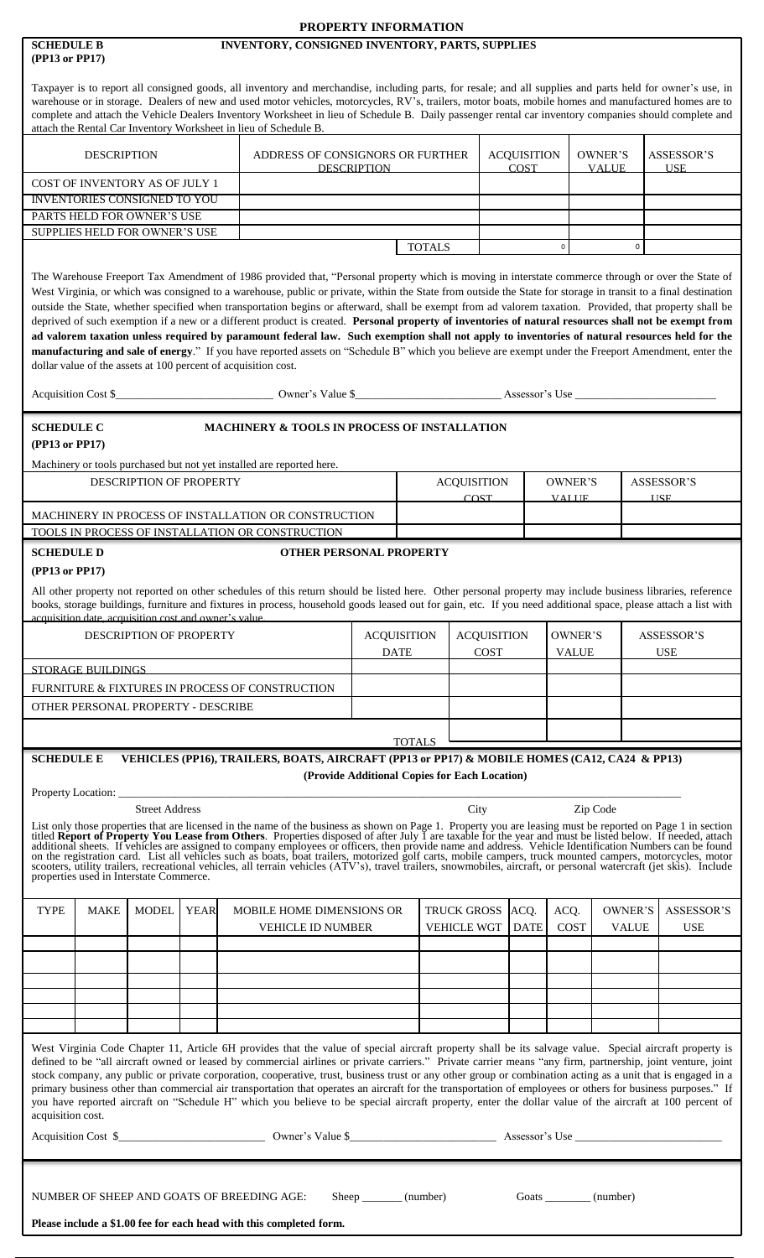|                                                                                                                                                                                                                                                                                                                                                                                                                                                                                                                                                                                                                                                                                                                                                                                                                                                                                                                                                                                                                     |                                                 | PROPERTY INFORMATION                          |                                   |                                   |                                   |                         |                         |                                 |                                 |
|---------------------------------------------------------------------------------------------------------------------------------------------------------------------------------------------------------------------------------------------------------------------------------------------------------------------------------------------------------------------------------------------------------------------------------------------------------------------------------------------------------------------------------------------------------------------------------------------------------------------------------------------------------------------------------------------------------------------------------------------------------------------------------------------------------------------------------------------------------------------------------------------------------------------------------------------------------------------------------------------------------------------|-------------------------------------------------|-----------------------------------------------|-----------------------------------|-----------------------------------|-----------------------------------|-------------------------|-------------------------|---------------------------------|---------------------------------|
| <b>SCHEDULE B</b><br>(PP13 or PP17)                                                                                                                                                                                                                                                                                                                                                                                                                                                                                                                                                                                                                                                                                                                                                                                                                                                                                                                                                                                 | INVENTORY, CONSIGNED INVENTORY, PARTS, SUPPLIES |                                               |                                   |                                   |                                   |                         |                         |                                 |                                 |
| Taxpayer is to report all consigned goods, all inventory and merchandise, including parts, for resale; and all supplies and parts held for owner's use, in<br>warehouse or in storage. Dealers of new and used motor vehicles, motorcycles, RV's, trailers, motor boats, mobile homes and manufactured homes are to<br>complete and attach the Vehicle Dealers Inventory Worksheet in lieu of Schedule B. Daily passenger rental car inventory companies should complete and<br>attach the Rental Car Inventory Worksheet in lieu of Schedule B.                                                                                                                                                                                                                                                                                                                                                                                                                                                                    |                                                 |                                               |                                   |                                   |                                   |                         |                         |                                 |                                 |
| <b>DESCRIPTION</b>                                                                                                                                                                                                                                                                                                                                                                                                                                                                                                                                                                                                                                                                                                                                                                                                                                                                                                                                                                                                  | ADDRESS OF CONSIGNORS OR FURTHER                | <b>DESCRIPTION</b>                            |                                   |                                   | <b>ACQUISITION</b><br><b>COST</b> |                         | OWNER'S<br><b>VALUE</b> |                                 | <b>ASSESSOR'S</b><br><b>USE</b> |
| COST OF INVENTORY AS OF JULY 1<br><b>INVENTORIES CONSIGNED TO YOU</b>                                                                                                                                                                                                                                                                                                                                                                                                                                                                                                                                                                                                                                                                                                                                                                                                                                                                                                                                               |                                                 |                                               |                                   |                                   |                                   |                         |                         |                                 |                                 |
| PARTS HELD FOR OWNER'S USE                                                                                                                                                                                                                                                                                                                                                                                                                                                                                                                                                                                                                                                                                                                                                                                                                                                                                                                                                                                          |                                                 |                                               |                                   |                                   |                                   |                         |                         |                                 |                                 |
| SUPPLIES HELD FOR OWNER'S USE                                                                                                                                                                                                                                                                                                                                                                                                                                                                                                                                                                                                                                                                                                                                                                                                                                                                                                                                                                                       |                                                 |                                               |                                   |                                   |                                   |                         |                         |                                 |                                 |
|                                                                                                                                                                                                                                                                                                                                                                                                                                                                                                                                                                                                                                                                                                                                                                                                                                                                                                                                                                                                                     |                                                 |                                               | <b>TOTALS</b>                     |                                   |                                   | $\mathbf 0$             |                         | $\mathbf 0$                     |                                 |
| The Warehouse Freeport Tax Amendment of 1986 provided that, "Personal property which is moving in interstate commerce through or over the State of<br>West Virginia, or which was consigned to a warehouse, public or private, within the State from outside the State for storage in transit to a final destination<br>outside the State, whether specified when transportation begins or afterward, shall be exempt from ad valorem taxation. Provided, that property shall be<br>deprived of such exemption if a new or a different product is created. Personal property of inventories of natural resources shall not be exempt from<br>ad valorem taxation unless required by paramount federal law. Such exemption shall not apply to inventories of natural resources held for the<br>manufacturing and sale of energy." If you have reported assets on "Schedule B" which you believe are exempt under the Freeport Amendment, enter the<br>dollar value of the assets at 100 percent of acquisition cost. |                                                 |                                               |                                   |                                   |                                   |                         |                         |                                 |                                 |
| <b>SCHEDULE C</b>                                                                                                                                                                                                                                                                                                                                                                                                                                                                                                                                                                                                                                                                                                                                                                                                                                                                                                                                                                                                   | MACHINERY & TOOLS IN PROCESS OF INSTALLATION    |                                               |                                   |                                   |                                   |                         |                         |                                 |                                 |
| (PP13 or PP17)                                                                                                                                                                                                                                                                                                                                                                                                                                                                                                                                                                                                                                                                                                                                                                                                                                                                                                                                                                                                      |                                                 |                                               |                                   |                                   |                                   |                         |                         |                                 |                                 |
| Machinery or tools purchased but not yet installed are reported here.<br>DESCRIPTION OF PROPERTY                                                                                                                                                                                                                                                                                                                                                                                                                                                                                                                                                                                                                                                                                                                                                                                                                                                                                                                    |                                                 |                                               |                                   | <b>ACQUISITION</b>                |                                   | OWNER'S                 |                         |                                 | <b>ASSESSOR'S</b>               |
|                                                                                                                                                                                                                                                                                                                                                                                                                                                                                                                                                                                                                                                                                                                                                                                                                                                                                                                                                                                                                     |                                                 |                                               |                                   | <b>COST</b>                       |                                   | <b>VALUE</b>            |                         |                                 | <b>USE</b>                      |
| MACHINERY IN PROCESS OF INSTALLATION OR CONSTRUCTION<br>TOOLS IN PROCESS OF INSTALLATION OR CONSTRUCTION                                                                                                                                                                                                                                                                                                                                                                                                                                                                                                                                                                                                                                                                                                                                                                                                                                                                                                            |                                                 |                                               |                                   |                                   |                                   |                         |                         |                                 |                                 |
| <b>SCHEDULE D</b>                                                                                                                                                                                                                                                                                                                                                                                                                                                                                                                                                                                                                                                                                                                                                                                                                                                                                                                                                                                                   | <b>OTHER PERSONAL PROPERTY</b>                  |                                               |                                   |                                   |                                   |                         |                         |                                 |                                 |
| (PP13 or PP17)                                                                                                                                                                                                                                                                                                                                                                                                                                                                                                                                                                                                                                                                                                                                                                                                                                                                                                                                                                                                      |                                                 |                                               |                                   |                                   |                                   |                         |                         |                                 |                                 |
| All other property not reported on other schedules of this return should be listed here. Other personal property may include business libraries, reference<br>books, storage buildings, furniture and fixtures in process, household goods leased out for gain, etc. If you need additional space, please attach a list with<br>acquisition date, acquisition cost and owner's value.                                                                                                                                                                                                                                                                                                                                                                                                                                                                                                                                                                                                                               |                                                 |                                               |                                   |                                   |                                   |                         |                         |                                 |                                 |
| DESCRIPTION OF PROPERTY                                                                                                                                                                                                                                                                                                                                                                                                                                                                                                                                                                                                                                                                                                                                                                                                                                                                                                                                                                                             |                                                 | <b>ACQUISITION</b><br><b>DATE</b>             | <b>ACQUISITION</b><br><b>COST</b> |                                   |                                   | OWNER'S<br><b>VALUE</b> |                         | <b>ASSESSOR'S</b><br><b>USE</b> |                                 |
| STORAGE BUILDINGS<br>FURNITURE & FIXTURES IN PROCESS OF CONSTRUCTION                                                                                                                                                                                                                                                                                                                                                                                                                                                                                                                                                                                                                                                                                                                                                                                                                                                                                                                                                |                                                 |                                               |                                   |                                   |                                   |                         |                         |                                 |                                 |
| OTHER PERSONAL PROPERTY - DESCRIBE                                                                                                                                                                                                                                                                                                                                                                                                                                                                                                                                                                                                                                                                                                                                                                                                                                                                                                                                                                                  |                                                 |                                               |                                   |                                   |                                   |                         |                         |                                 |                                 |
|                                                                                                                                                                                                                                                                                                                                                                                                                                                                                                                                                                                                                                                                                                                                                                                                                                                                                                                                                                                                                     |                                                 |                                               |                                   |                                   |                                   |                         |                         |                                 |                                 |
| <b>SCHEDULE E</b><br>VEHICLES (PP16), TRAILERS, BOATS, AIRCRAFT (PP13 or PP17) & MOBILE HOMES (CA12, CA24 & PP13)                                                                                                                                                                                                                                                                                                                                                                                                                                                                                                                                                                                                                                                                                                                                                                                                                                                                                                   |                                                 | <b>TOTALS</b>                                 |                                   |                                   |                                   |                         |                         |                                 |                                 |
|                                                                                                                                                                                                                                                                                                                                                                                                                                                                                                                                                                                                                                                                                                                                                                                                                                                                                                                                                                                                                     |                                                 | (Provide Additional Copies for Each Location) |                                   |                                   |                                   |                         |                         |                                 |                                 |
| Property Location: _                                                                                                                                                                                                                                                                                                                                                                                                                                                                                                                                                                                                                                                                                                                                                                                                                                                                                                                                                                                                |                                                 |                                               |                                   |                                   |                                   |                         |                         |                                 |                                 |
| <b>Street Address</b><br>List only those properties that are licensed in the name of the business as shown on Page 1. Property you are leasing must be reported on Page 1 in section titled <b>Report of Property You Lease from Others</b> . Properties disp<br>properties used in Interstate Commerce.                                                                                                                                                                                                                                                                                                                                                                                                                                                                                                                                                                                                                                                                                                            |                                                 |                                               |                                   | City                              |                                   |                         | Zip Code                |                                 |                                 |
| <b>TYPE</b><br><b>MODEL</b><br><b>MAKE</b><br><b>YEAR</b>                                                                                                                                                                                                                                                                                                                                                                                                                                                                                                                                                                                                                                                                                                                                                                                                                                                                                                                                                           | MOBILE HOME DIMENSIONS OR<br>VEHICLE ID NUMBER  |                                               |                                   | TRUCK GROSS<br><b>VEHICLE WGT</b> | ACQ.<br><b>DATE</b>               | ACQ.<br>COST            | OWNER'S<br><b>VALUE</b> |                                 | <b>ASSESSOR'S</b><br><b>USE</b> |
|                                                                                                                                                                                                                                                                                                                                                                                                                                                                                                                                                                                                                                                                                                                                                                                                                                                                                                                                                                                                                     |                                                 |                                               |                                   |                                   |                                   |                         |                         |                                 |                                 |
|                                                                                                                                                                                                                                                                                                                                                                                                                                                                                                                                                                                                                                                                                                                                                                                                                                                                                                                                                                                                                     |                                                 |                                               |                                   |                                   |                                   |                         |                         |                                 |                                 |
|                                                                                                                                                                                                                                                                                                                                                                                                                                                                                                                                                                                                                                                                                                                                                                                                                                                                                                                                                                                                                     |                                                 |                                               |                                   |                                   |                                   |                         |                         |                                 |                                 |
|                                                                                                                                                                                                                                                                                                                                                                                                                                                                                                                                                                                                                                                                                                                                                                                                                                                                                                                                                                                                                     |                                                 |                                               |                                   |                                   |                                   |                         |                         |                                 |                                 |
| West Virginia Code Chapter 11, Article 6H provides that the value of special aircraft property shall be its salvage value. Special aircraft property is<br>defined to be "all aircraft owned or leased by commercial airlines or private carriers." Private carrier means "any firm, partnership, joint venture, joint<br>stock company, any public or private corporation, cooperative, trust, business trust or any other group or combination acting as a unit that is engaged in a<br>primary business other than commercial air transportation that operates an aircraft for the transportation of employees or others for business purposes." If<br>you have reported aircraft on "Schedule H" which you believe to be special aircraft property, enter the dollar value of the aircraft at 100 percent of<br>acquisition cost.                                                                                                                                                                               |                                                 |                                               |                                   |                                   |                                   |                         |                         |                                 |                                 |
| Acquisition Cost \$                                                                                                                                                                                                                                                                                                                                                                                                                                                                                                                                                                                                                                                                                                                                                                                                                                                                                                                                                                                                 | Owner's Value \$                                |                                               |                                   |                                   | Assessor's Use                    |                         |                         |                                 |                                 |
|                                                                                                                                                                                                                                                                                                                                                                                                                                                                                                                                                                                                                                                                                                                                                                                                                                                                                                                                                                                                                     |                                                 |                                               |                                   |                                   |                                   |                         |                         |                                 |                                 |
| NUMBER OF SHEEP AND GOATS OF BREEDING AGE:                                                                                                                                                                                                                                                                                                                                                                                                                                                                                                                                                                                                                                                                                                                                                                                                                                                                                                                                                                          |                                                 | Sheep ________ (number)                       |                                   |                                   |                                   | Goats                   | (number)                |                                 |                                 |

**Please include a \$1.00 fee for each head with this completed form.**

 $\mathbf l$